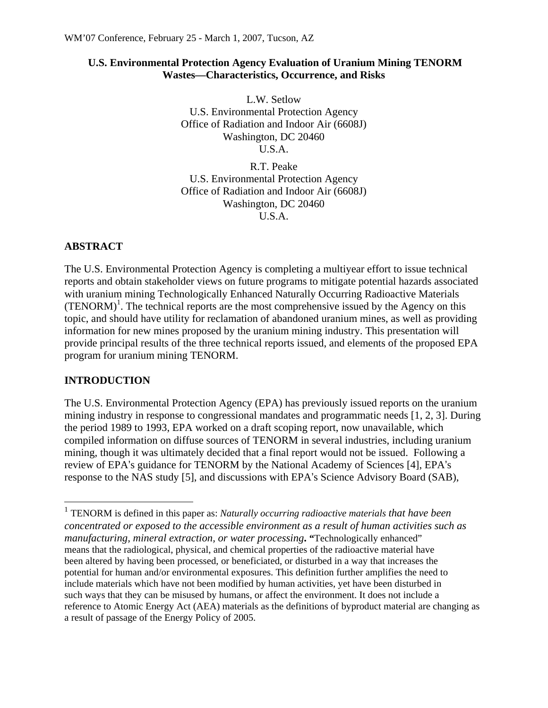### **U.S. Environmental Protection Agency Evaluation of Uranium Mining TENORM Wastes—Characteristics, Occurrence, and Risks**

L.W. Setlow U.S. Environmental Protection Agency Office of Radiation and Indoor Air (6608J) Washington, DC 20460 U.S.A.

R.T. Peake U.S. Environmental Protection Agency Office of Radiation and Indoor Air (6608J) Washington, DC 20460 U.S.A.

## **ABSTRACT**

The U.S. Environmental Protection Agency is completing a multiyear effort to issue technical reports and obtain stakeholder views on future programs to mitigate potential hazards associated with uranium mining Technologically Enhanced Naturally Occurring Radioactive Materials  $(TENORM)^1$ . The technical reports are the most comprehensive issued by the Agency on this topic, and should have utility for reclamation of abandoned uranium mines, as well as providing information for new mines proposed by the uranium mining industry. This presentation will provide principal results of the three technical reports issued, and elements of the proposed EPA program for uranium mining TENORM.

# **INTRODUCTION**

 $\overline{a}$ 

The U.S. Environmental Protection Agency (EPA) has previously issued reports on the uranium mining industry in response to congressional mandates and programmatic needs [1, 2, 3]. During the period 1989 to 1993, EPA worked on a draft scoping report, now unavailable, which compiled information on diffuse sources of TENORM in several industries, including uranium mining, though it was ultimately decided that a final report would not be issued. Following a review of EPA's guidance for TENORM by the National Academy of Sciences [4], EPA's response to the NAS study [5], and discussions with EPA's Science Advisory Board (SAB),

<sup>1</sup> TENORM is defined in this paper as: *Naturally occurring radioactive materials that have been concentrated or exposed to the accessible environment as a result of human activities such as manufacturing, mineral extraction, or water processing***. "**Technologically enhanced" means that the radiological, physical, and chemical properties of the radioactive material have been altered by having been processed, or beneficiated, or disturbed in a way that increases the potential for human and/or environmental exposures. This definition further amplifies the need to include materials which have not been modified by human activities, yet have been disturbed in such ways that they can be misused by humans, or affect the environment. It does not include a reference to Atomic Energy Act (AEA) materials as the definitions of byproduct material are changing as a result of passage of the Energy Policy of 2005.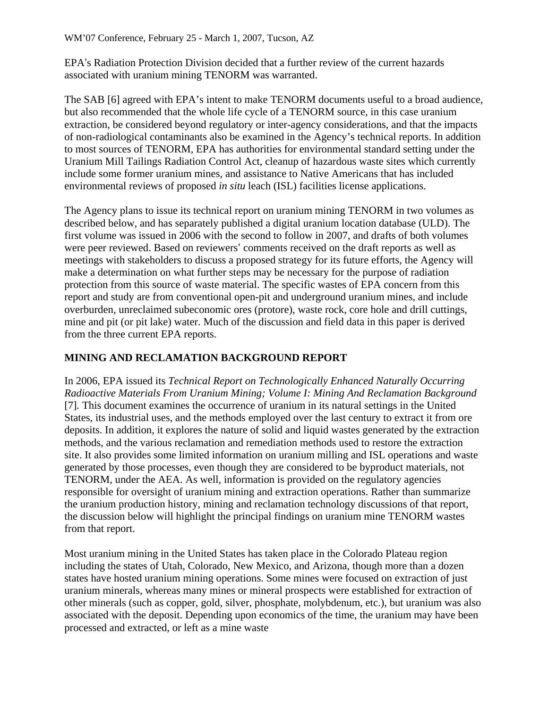EPA's Radiation Protection Division decided that a further review of the current hazards associated with uranium mining TENORM was warranted.

The SAB [6] agreed with EPA's intent to make TENORM documents useful to a broad audience, but also recommended that the whole life cycle of a TENORM source, in this case uranium extraction, be considered beyond regulatory or inter-agency considerations, and that the impacts of non-radiological contaminants also be examined in the Agency's technical reports. In addition to most sources of TENORM, EPA has authorities for environmental standard setting under the Uranium Mill Tailings Radiation Control Act, cleanup of hazardous waste sites which currently include some former uranium mines, and assistance to Native Americans that has included environmental reviews of proposed *in situ* leach (ISL) facilities license applications.

The Agency plans to issue its technical report on uranium mining TENORM in two volumes as described below, and has separately published a digital uranium location database (ULD). The first volume was issued in 2006 with the second to follow in 2007, and drafts of both volumes were peer reviewed. Based on reviewers' comments received on the draft reports as well as meetings with stakeholders to discuss a proposed strategy for its future efforts, the Agency will make a determination on what further steps may be necessary for the purpose of radiation protection from this source of waste material. The specific wastes of EPA concern from this report and study are from conventional open-pit and underground uranium mines, and include overburden, unreclaimed subeconomic ores (protore), waste rock, core hole and drill cuttings, mine and pit (or pit lake) water. Much of the discussion and field data in this paper is derived from the three current EPA reports.

# **MINING AND RECLAMATION BACKGROUND REPORT**

In 2006, EPA issued its *Technical Report on Technologically Enhanced Naturally Occurring Radioactive Materials From Uranium Mining; Volume I: Mining And Reclamation Background*  [7]*.* This document examines the occurrence of uranium in its natural settings in the United States, its industrial uses, and the methods employed over the last century to extract it from ore deposits. In addition, it explores the nature of solid and liquid wastes generated by the extraction methods, and the various reclamation and remediation methods used to restore the extraction site. It also provides some limited information on uranium milling and ISL operations and waste generated by those processes, even though they are considered to be byproduct materials, not TENORM, under the AEA. As well, information is provided on the regulatory agencies responsible for oversight of uranium mining and extraction operations. Rather than summarize the uranium production history, mining and reclamation technology discussions of that report, the discussion below will highlight the principal findings on uranium mine TENORM wastes from that report.

Most uranium mining in the United States has taken place in the Colorado Plateau region including the states of Utah, Colorado, New Mexico, and Arizona, though more than a dozen states have hosted uranium mining operations. Some mines were focused on extraction of just uranium minerals, whereas many mines or mineral prospects were established for extraction of other minerals (such as copper, gold, silver, phosphate, molybdenum, etc.), but uranium was also associated with the deposit. Depending upon economics of the time, the uranium may have been processed and extracted, or left as a mine waste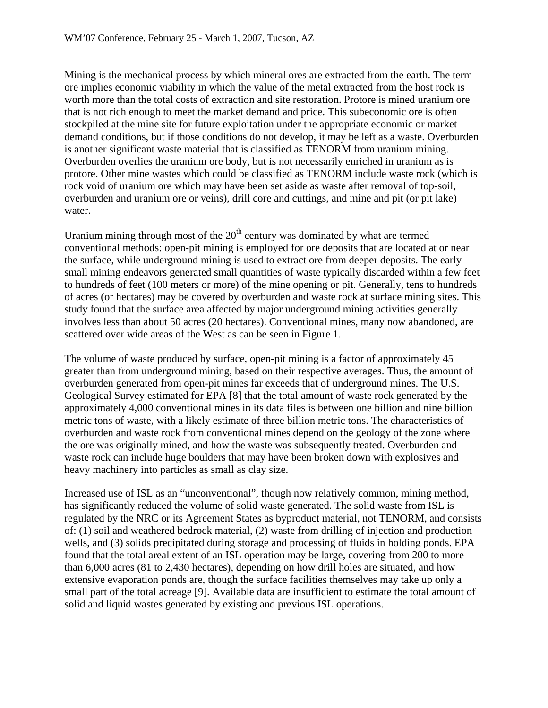Mining is the mechanical process by which mineral ores are extracted from the earth. The term ore implies economic viability in which the value of the metal extracted from the host rock is worth more than the total costs of extraction and site restoration. Protore is mined uranium ore that is not rich enough to meet the market demand and price. This subeconomic ore is often stockpiled at the mine site for future exploitation under the appropriate economic or market demand conditions, but if those conditions do not develop, it may be left as a waste. Overburden is another significant waste material that is classified as TENORM from uranium mining. Overburden overlies the uranium ore body, but is not necessarily enriched in uranium as is protore. Other mine wastes which could be classified as TENORM include waste rock (which is rock void of uranium ore which may have been set aside as waste after removal of top-soil, overburden and uranium ore or veins), drill core and cuttings, and mine and pit (or pit lake) water.

Uranium mining through most of the  $20<sup>th</sup>$  century was dominated by what are termed conventional methods: open-pit mining is employed for ore deposits that are located at or near the surface, while underground mining is used to extract ore from deeper deposits. The early small mining endeavors generated small quantities of waste typically discarded within a few feet to hundreds of feet (100 meters or more) of the mine opening or pit. Generally, tens to hundreds of acres (or hectares) may be covered by overburden and waste rock at surface mining sites. This study found that the surface area affected by major underground mining activities generally involves less than about 50 acres (20 hectares). Conventional mines, many now abandoned, are scattered over wide areas of the West as can be seen in Figure 1.

The volume of waste produced by surface, open-pit mining is a factor of approximately 45 greater than from underground mining, based on their respective averages. Thus, the amount of overburden generated from open-pit mines far exceeds that of underground mines. The U.S. Geological Survey estimated for EPA [8] that the total amount of waste rock generated by the approximately 4,000 conventional mines in its data files is between one billion and nine billion metric tons of waste, with a likely estimate of three billion metric tons. The characteristics of overburden and waste rock from conventional mines depend on the geology of the zone where the ore was originally mined, and how the waste was subsequently treated. Overburden and waste rock can include huge boulders that may have been broken down with explosives and heavy machinery into particles as small as clay size.

Increased use of ISL as an "unconventional", though now relatively common, mining method, has significantly reduced the volume of solid waste generated. The solid waste from ISL is regulated by the NRC or its Agreement States as byproduct material, not TENORM, and consists of: (1) soil and weathered bedrock material, (2) waste from drilling of injection and production wells, and (3) solids precipitated during storage and processing of fluids in holding ponds. EPA found that the total areal extent of an ISL operation may be large, covering from 200 to more than 6,000 acres (81 to 2,430 hectares), depending on how drill holes are situated, and how extensive evaporation ponds are, though the surface facilities themselves may take up only a small part of the total acreage [9]. Available data are insufficient to estimate the total amount of solid and liquid wastes generated by existing and previous ISL operations.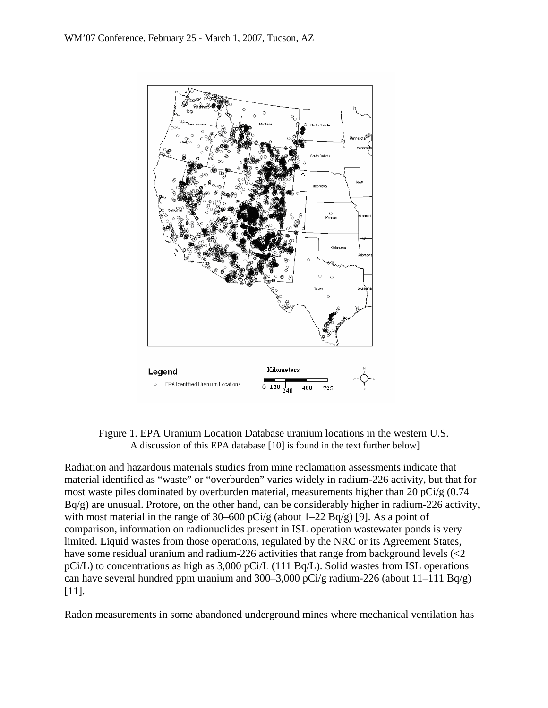

Figure 1. EPA Uranium Location Database uranium locations in the western U.S. A discussion of this EPA database [10] is found in the text further below]

Radiation and hazardous materials studies from mine reclamation assessments indicate that material identified as "waste" or "overburden" varies widely in radium-226 activity, but that for most waste piles dominated by overburden material, measurements higher than 20 pCi/g (0.74 Bq/g) are unusual. Protore, on the other hand, can be considerably higher in radium-226 activity, with most material in the range of 30–600 pCi/g (about  $1-22$  Bq/g) [9]. As a point of comparison, information on radionuclides present in ISL operation wastewater ponds is very limited. Liquid wastes from those operations, regulated by the NRC or its Agreement States, have some residual uranium and radium-226 activities that range from background levels (<2 pCi/L) to concentrations as high as 3,000 pCi/L (111 Bq/L). Solid wastes from ISL operations can have several hundred ppm uranium and 300–3,000 pCi/g radium-226 (about  $11-111$  Bq/g) [11].

Radon measurements in some abandoned underground mines where mechanical ventilation has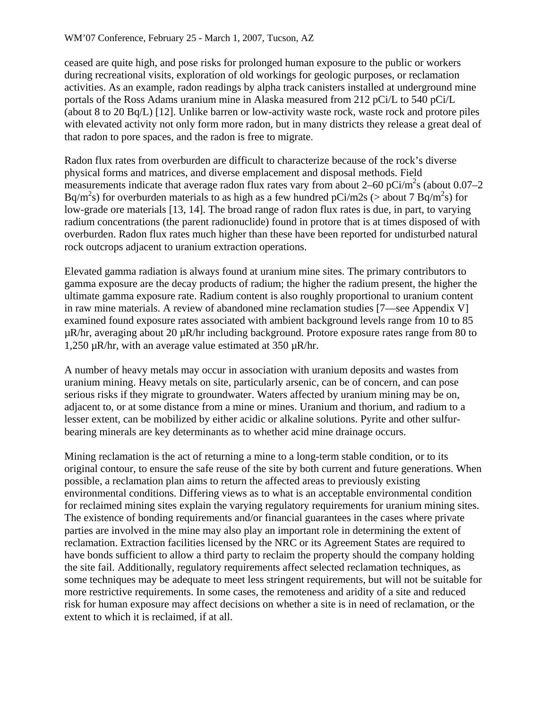ceased are quite high, and pose risks for prolonged human exposure to the public or workers during recreational visits, exploration of old workings for geologic purposes, or reclamation activities. As an example, radon readings by alpha track canisters installed at underground mine portals of the Ross Adams uranium mine in Alaska measured from 212 pCi/L to 540 pCi/L (about 8 to 20 Bq/L) [12]. Unlike barren or low-activity waste rock, waste rock and protore piles with elevated activity not only form more radon, but in many districts they release a great deal of that radon to pore spaces, and the radon is free to migrate.

Radon flux rates from overburden are difficult to characterize because of the rock's diverse physical forms and matrices, and diverse emplacement and disposal methods. Field measurements indicate that average radon flux rates vary from about  $2-60$  pCi/m<sup>2</sup>s (about 0.07–2) Bq/m<sup>2</sup>s) for overburden materials to as high as a few hundred pCi/m2s (> about 7 Bq/m<sup>2</sup>s) for low-grade ore materials [13, 14]. The broad range of radon flux rates is due, in part, to varying radium concentrations (the parent radionuclide) found in protore that is at times disposed of with overburden. Radon flux rates much higher than these have been reported for undisturbed natural rock outcrops adjacent to uranium extraction operations.

Elevated gamma radiation is always found at uranium mine sites. The primary contributors to gamma exposure are the decay products of radium; the higher the radium present, the higher the ultimate gamma exposure rate. Radium content is also roughly proportional to uranium content in raw mine materials. A review of abandoned mine reclamation studies [7—see Appendix V] examined found exposure rates associated with ambient background levels range from 10 to 85 µR/hr, averaging about 20 µR/hr including background. Protore exposure rates range from 80 to 1,250 µR/hr, with an average value estimated at 350 µR/hr.

A number of heavy metals may occur in association with uranium deposits and wastes from uranium mining. Heavy metals on site, particularly arsenic, can be of concern, and can pose serious risks if they migrate to groundwater. Waters affected by uranium mining may be on, adjacent to, or at some distance from a mine or mines. Uranium and thorium, and radium to a lesser extent, can be mobilized by either acidic or alkaline solutions. Pyrite and other sulfurbearing minerals are key determinants as to whether acid mine drainage occurs.

Mining reclamation is the act of returning a mine to a long-term stable condition, or to its original contour, to ensure the safe reuse of the site by both current and future generations. When possible, a reclamation plan aims to return the affected areas to previously existing environmental conditions. Differing views as to what is an acceptable environmental condition for reclaimed mining sites explain the varying regulatory requirements for uranium mining sites. The existence of bonding requirements and/or financial guarantees in the cases where private parties are involved in the mine may also play an important role in determining the extent of reclamation. Extraction facilities licensed by the NRC or its Agreement States are required to have bonds sufficient to allow a third party to reclaim the property should the company holding the site fail. Additionally, regulatory requirements affect selected reclamation techniques, as some techniques may be adequate to meet less stringent requirements, but will not be suitable for more restrictive requirements. In some cases, the remoteness and aridity of a site and reduced risk for human exposure may affect decisions on whether a site is in need of reclamation, or the extent to which it is reclaimed, if at all.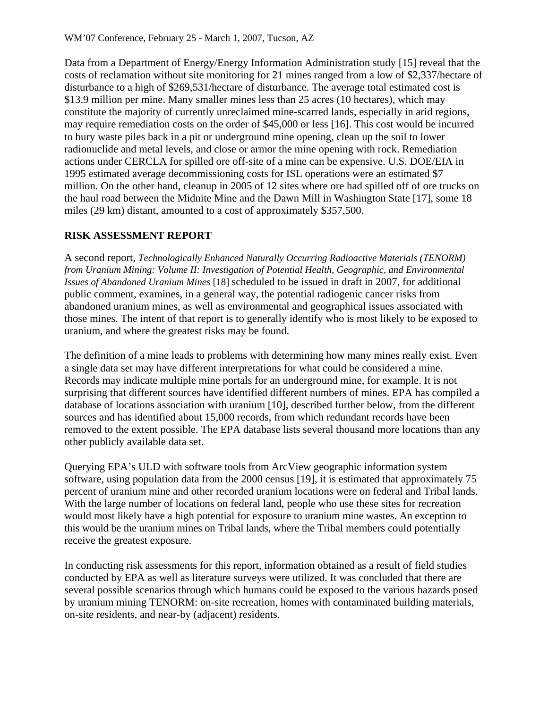Data from a Department of Energy/Energy Information Administration study [15] reveal that the costs of reclamation without site monitoring for 21 mines ranged from a low of \$2,337/hectare of disturbance to a high of \$269,531/hectare of disturbance. The average total estimated cost is \$13.9 million per mine. Many smaller mines less than 25 acres (10 hectares), which may constitute the majority of currently unreclaimed mine-scarred lands, especially in arid regions, may require remediation costs on the order of \$45,000 or less [16]. This cost would be incurred to bury waste piles back in a pit or underground mine opening, clean up the soil to lower radionuclide and metal levels, and close or armor the mine opening with rock. Remediation actions under CERCLA for spilled ore off-site of a mine can be expensive. U.S. DOE/EIA in 1995 estimated average decommissioning costs for ISL operations were an estimated \$7 million. On the other hand, cleanup in 2005 of 12 sites where ore had spilled off of ore trucks on the haul road between the Midnite Mine and the Dawn Mill in Washington State [17], some 18 miles (29 km) distant, amounted to a cost of approximately \$357,500.

## **RISK ASSESSMENT REPORT**

A second report, *Technologically Enhanced Naturally Occurring Radioactive Materials (TENORM) from Uranium Mining: Volume II: Investigation of Potential Health, Geographic, and Environmental Issues of Abandoned Uranium Mines* [18] scheduled to be issued in draft in 2007, for additional public comment, examines, in a general way, the potential radiogenic cancer risks from abandoned uranium mines, as well as environmental and geographical issues associated with those mines. The intent of that report is to generally identify who is most likely to be exposed to uranium, and where the greatest risks may be found.

The definition of a mine leads to problems with determining how many mines really exist. Even a single data set may have different interpretations for what could be considered a mine. Records may indicate multiple mine portals for an underground mine, for example. It is not surprising that different sources have identified different numbers of mines. EPA has compiled a database of locations association with uranium [10], described further below, from the different sources and has identified about 15,000 records, from which redundant records have been removed to the extent possible. The EPA database lists several thousand more locations than any other publicly available data set.

Querying EPA's ULD with software tools from ArcView geographic information system software, using population data from the 2000 census [19], it is estimated that approximately 75 percent of uranium mine and other recorded uranium locations were on federal and Tribal lands. With the large number of locations on federal land, people who use these sites for recreation would most likely have a high potential for exposure to uranium mine wastes. An exception to this would be the uranium mines on Tribal lands, where the Tribal members could potentially receive the greatest exposure.

In conducting risk assessments for this report, information obtained as a result of field studies conducted by EPA as well as literature surveys were utilized. It was concluded that there are several possible scenarios through which humans could be exposed to the various hazards posed by uranium mining TENORM: on-site recreation, homes with contaminated building materials, on-site residents, and near-by (adjacent) residents.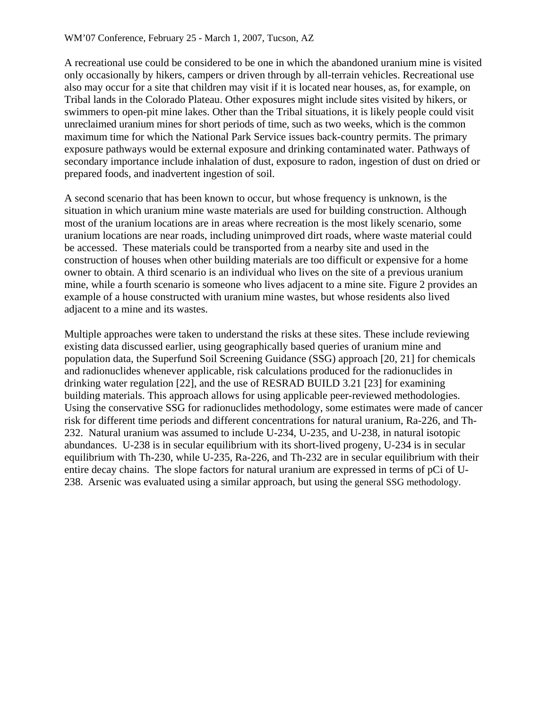A recreational use could be considered to be one in which the abandoned uranium mine is visited only occasionally by hikers, campers or driven through by all-terrain vehicles. Recreational use also may occur for a site that children may visit if it is located near houses, as, for example, on Tribal lands in the Colorado Plateau. Other exposures might include sites visited by hikers, or swimmers to open-pit mine lakes. Other than the Tribal situations, it is likely people could visit unreclaimed uranium mines for short periods of time, such as two weeks, which is the common maximum time for which the National Park Service issues back-country permits. The primary exposure pathways would be external exposure and drinking contaminated water. Pathways of secondary importance include inhalation of dust, exposure to radon, ingestion of dust on dried or prepared foods, and inadvertent ingestion of soil.

A second scenario that has been known to occur, but whose frequency is unknown, is the situation in which uranium mine waste materials are used for building construction. Although most of the uranium locations are in areas where recreation is the most likely scenario, some uranium locations are near roads, including unimproved dirt roads, where waste material could be accessed. These materials could be transported from a nearby site and used in the construction of houses when other building materials are too difficult or expensive for a home owner to obtain. A third scenario is an individual who lives on the site of a previous uranium mine, while a fourth scenario is someone who lives adjacent to a mine site. Figure 2 provides an example of a house constructed with uranium mine wastes, but whose residents also lived adjacent to a mine and its wastes.

Multiple approaches were taken to understand the risks at these sites. These include reviewing existing data discussed earlier, using geographically based queries of uranium mine and population data, the Superfund Soil Screening Guidance (SSG) approach [20, 21] for chemicals and radionuclides whenever applicable, risk calculations produced for the radionuclides in drinking water regulation [22], and the use of RESRAD BUILD 3.21 [23] for examining building materials. This approach allows for using applicable peer-reviewed methodologies. Using the conservative SSG for radionuclides methodology, some estimates were made of cancer risk for different time periods and different concentrations for natural uranium, Ra-226, and Th-232. Natural uranium was assumed to include U-234, U-235, and U-238, in natural isotopic abundances. U-238 is in secular equilibrium with its short-lived progeny, U-234 is in secular equilibrium with Th-230, while U-235, Ra-226, and Th-232 are in secular equilibrium with their entire decay chains. The slope factors for natural uranium are expressed in terms of pCi of U-238. Arsenic was evaluated using a similar approach, but using the general SSG methodology.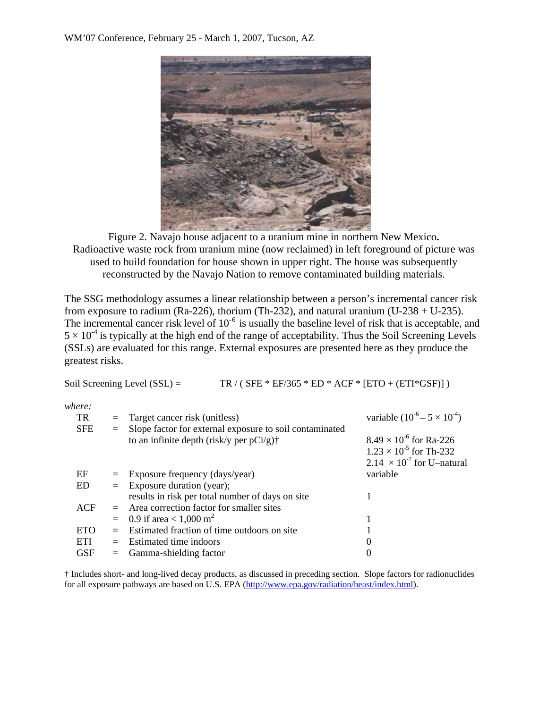

Figure 2. Navajo house adjacent to a uranium mine in northern New Mexico**.** Radioactive waste rock from uranium mine (now reclaimed) in left foreground of picture was used to build foundation for house shown in upper right. The house was subsequently reconstructed by the Navajo Nation to remove contaminated building materials.

The SSG methodology assumes a linear relationship between a person's incremental cancer risk from exposure to radium (Ra-226), thorium (Th-232), and natural uranium (U-238 + U-235). The incremental cancer risk level of  $10^{-6}$  is usually the baseline level of risk that is acceptable, and  $5 \times 10^{-4}$  is typically at the high end of the range of acceptability. Thus the Soil Screening Levels (SSLs) are evaluated for this range. External exposures are presented here as they produce the greatest risks.

Soil Screening Level (SSL) = TR / (  $SFE * EF/365 * ED * ACF * [ETO + (ETI * GSF)]$  )

| where:     |     |                                                                                                        |                                                                                                             |
|------------|-----|--------------------------------------------------------------------------------------------------------|-------------------------------------------------------------------------------------------------------------|
| TR         | $=$ | Target cancer risk (unitless)                                                                          | variable $(10^{-6} - 5 \times 10^{-4})$                                                                     |
| <b>SFE</b> | $=$ | Slope factor for external exposure to soil contaminated<br>to an infinite depth (risk/y per $pCi/g$ )† | $8.49 \times 10^{-6}$ for Ra-226<br>$1.23 \times 10^{-5}$ for Th-232<br>$2.14 \times 10^{-7}$ for U-natural |
| EF         |     | $=$ Exposure frequency (days/year)                                                                     | variable                                                                                                    |
| ED         |     | $=$ Exposure duration (year);                                                                          |                                                                                                             |
|            |     | results in risk per total number of days on site                                                       |                                                                                                             |
| ACF        |     | $=$ Area correction factor for smaller sites                                                           |                                                                                                             |
|            | $=$ | 0.9 if area $< 1,000 \text{ m}^2$                                                                      |                                                                                                             |
| <b>ETO</b> | $=$ | Estimated fraction of time outdoors on site                                                            |                                                                                                             |
| ETI        | $=$ | Estimated time indoors                                                                                 | $\theta$                                                                                                    |
| GSF        |     | $=$ Gamma-shielding factor                                                                             | 0                                                                                                           |

† Includes short- and long-lived decay products, as discussed in preceding section. Slope factors for radionuclides for all exposure pathways are based on U.S. EPA (http://www.epa.gov/radiation/heast/index.html).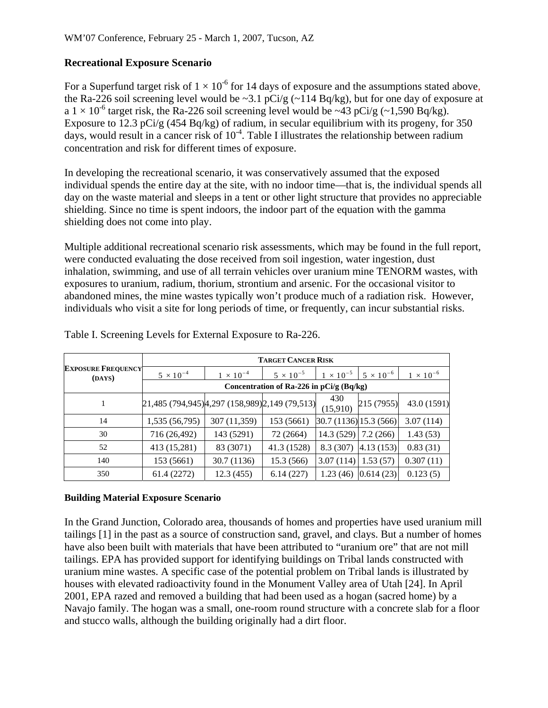## **Recreational Exposure Scenario**

For a Superfund target risk of  $1 \times 10^{-6}$  for 14 days of exposure and the assumptions stated above, the Ra-226 soil screening level would be  $\sim$ 3.1 pCi/g ( $\sim$ 114 Bq/kg), but for one day of exposure at a  $1 \times 10^{-6}$  target risk, the Ra-226 soil screening level would be ~43 pCi/g (~1,590 Bq/kg). Exposure to 12.3 pCi/g (454 Bq/kg) of radium, in secular equilibrium with its progeny, for 350 days, would result in a cancer risk of  $10^{-4}$ . Table I illustrates the relationship between radium concentration and risk for different times of exposure.

In developing the recreational scenario, it was conservatively assumed that the exposed individual spends the entire day at the site, with no indoor time—that is, the individual spends all day on the waste material and sleeps in a tent or other light structure that provides no appreciable shielding. Since no time is spent indoors, the indoor part of the equation with the gamma shielding does not come into play.

Multiple additional recreational scenario risk assessments, which may be found in the full report, were conducted evaluating the dose received from soil ingestion, water ingestion, dust inhalation, swimming, and use of all terrain vehicles over uranium mine TENORM wastes, with exposures to uranium, radium, thorium, strontium and arsenic. For the occasional visitor to abandoned mines, the mine wastes typically won't produce much of a radiation risk. However, individuals who visit a site for long periods of time, or frequently, can incur substantial risks.

|                                     | <b>TARGET CANCER RISK</b>                       |                    |                    |                        |                    |                    |
|-------------------------------------|-------------------------------------------------|--------------------|--------------------|------------------------|--------------------|--------------------|
| <b>EXPOSURE FREQUENCY</b><br>(DAYS) | $5 \times 10^{-4}$                              | $1 \times 10^{-4}$ | $5 \times 10^{-5}$ | $1 \times 10^{-5}$     | $5 \times 10^{-6}$ | $1 \times 10^{-6}$ |
|                                     | Concentration of Ra-226 in pCi/g (Bq/kg)        |                    |                    |                        |                    |                    |
|                                     | 21,485 (794,945) 4,297 (158,989) 2,149 (79,513) |                    |                    | 430<br>(15,910)        | 215 (7955)         | 43.0 (1591)        |
| 14                                  | 1,535 (56,795)                                  | 307 (11,359)       | 153 (5661)         | 30.7 (1136) 15.3 (566) |                    | 3.07(114)          |
| 30                                  | 716 (26,492)                                    | 143 (5291)         | 72 (2664)          | 14.3(529)              | 7.2(266)           | 1.43(53)           |
| 52                                  | 413 (15,281)                                    | 83 (3071)          | 41.3 (1528)        | 8.3 (307)              | 4.13(153)          | 0.83(31)           |
| 140                                 | 153 (5661)                                      | 30.7 (1136)        | 15.3 (566)         | 3.07(114)              | 1.53(57)           | 0.307(11)          |
| 350                                 | 61.4 (2272)                                     | 12.3(455)          | 6.14(227)          | 1.23(46)               | 0.614(23)          | 0.123(5)           |

Table I. Screening Levels for External Exposure to Ra-226.

#### **Building Material Exposure Scenario**

In the Grand Junction, Colorado area, thousands of homes and properties have used uranium mill tailings [1] in the past as a source of construction sand, gravel, and clays. But a number of homes have also been built with materials that have been attributed to "uranium ore" that are not mill tailings. EPA has provided support for identifying buildings on Tribal lands constructed with uranium mine wastes. A specific case of the potential problem on Tribal lands is illustrated by houses with elevated radioactivity found in the Monument Valley area of Utah [24]. In April 2001, EPA razed and removed a building that had been used as a hogan (sacred home) by a Navajo family. The hogan was a small, one-room round structure with a concrete slab for a floor and stucco walls, although the building originally had a dirt floor.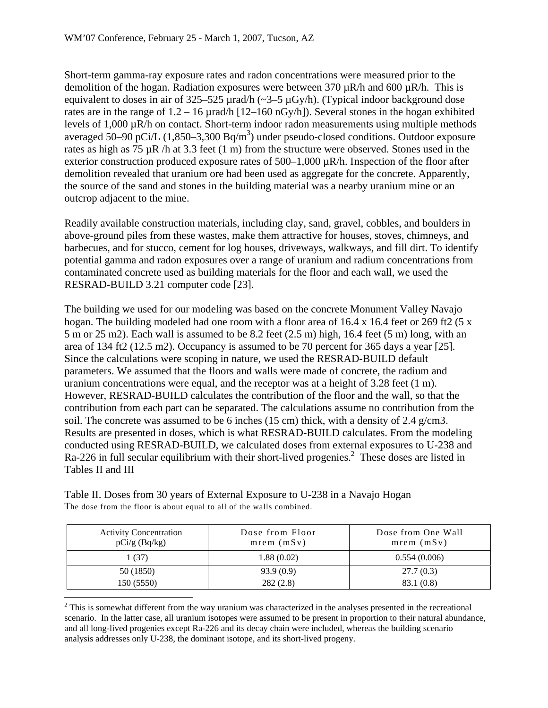Short-term gamma-ray exposure rates and radon concentrations were measured prior to the demolition of the hogan. Radiation exposures were between 370  $\mu$ R/h and 600  $\mu$ R/h. This is equivalent to doses in air of  $325-525 \mu$ rad/h (~3-5  $\mu$ Gy/h). (Typical indoor background dose rates are in the range of  $1.2 - 16 \mu$ rad/h  $[12–160 \text{ nGy/h}]$ ). Several stones in the hogan exhibited levels of 1,000 µR/h on contact. Short-term indoor radon measurements using multiple methods averaged 50–90 pCi/L  $(1,850-3,300 \text{ Bq/m}^3)$  under pseudo-closed conditions. Outdoor exposure rates as high as 75  $\mu$ R /h at 3.3 feet (1 m) from the structure were observed. Stones used in the exterior construction produced exposure rates of  $500-1,000 \mu R/h$ . Inspection of the floor after demolition revealed that uranium ore had been used as aggregate for the concrete. Apparently, the source of the sand and stones in the building material was a nearby uranium mine or an outcrop adjacent to the mine.

Readily available construction materials, including clay, sand, gravel, cobbles, and boulders in above-ground piles from these wastes, make them attractive for houses, stoves, chimneys, and barbecues, and for stucco, cement for log houses, driveways, walkways, and fill dirt. To identify potential gamma and radon exposures over a range of uranium and radium concentrations from contaminated concrete used as building materials for the floor and each wall, we used the RESRAD-BUILD 3.21 computer code [23].

The building we used for our modeling was based on the concrete Monument Valley Navajo hogan. The building modeled had one room with a floor area of 16.4 x 16.4 feet or 269 ft2 (5 x 5 m or 25 m2). Each wall is assumed to be 8.2 feet (2.5 m) high, 16.4 feet (5 m) long, with an area of 134 ft2 (12.5 m2). Occupancy is assumed to be 70 percent for 365 days a year [25]. Since the calculations were scoping in nature, we used the RESRAD-BUILD default parameters. We assumed that the floors and walls were made of concrete, the radium and uranium concentrations were equal, and the receptor was at a height of 3.28 feet (1 m). However, RESRAD-BUILD calculates the contribution of the floor and the wall, so that the contribution from each part can be separated. The calculations assume no contribution from the soil. The concrete was assumed to be 6 inches (15 cm) thick, with a density of 2.4  $g/cm3$ . Results are presented in doses, which is what RESRAD-BUILD calculates. From the modeling conducted using RESRAD-BUILD, we calculated doses from external exposures to U-238 and Ra-226 in full secular equilibrium with their short-lived progenies.<sup>2</sup> These doses are listed in Tables II and III

| <b>Activity Concentration</b><br>$pCi/g$ (Bq/kg) | Dose from Floor<br>$mrem$ ( $mSv$ ) | Dose from One Wall<br>mrem (mSv) |  |
|--------------------------------------------------|-------------------------------------|----------------------------------|--|
| 1(37)                                            | 1.88(0.02)                          | 0.554(0.006)                     |  |
| 50 (1850)                                        | 93.9(0.9)                           | 27.7(0.3)                        |  |
| 150 (5550)                                       | 282(2.8)                            | 83.1(0.8)                        |  |

Table II. Doses from 30 years of External Exposure to U-238 in a Navajo Hogan The dose from the floor is about equal to all of the walls combined.

 $\overline{a}$ 

 $2^2$  This is somewhat different from the way uranium was characterized in the analyses presented in the recreational scenario. In the latter case, all uranium isotopes were assumed to be present in proportion to their natural abundance, and all long-lived progenies except Ra-226 and its decay chain were included, whereas the building scenario analysis addresses only U-238, the dominant isotope, and its short-lived progeny.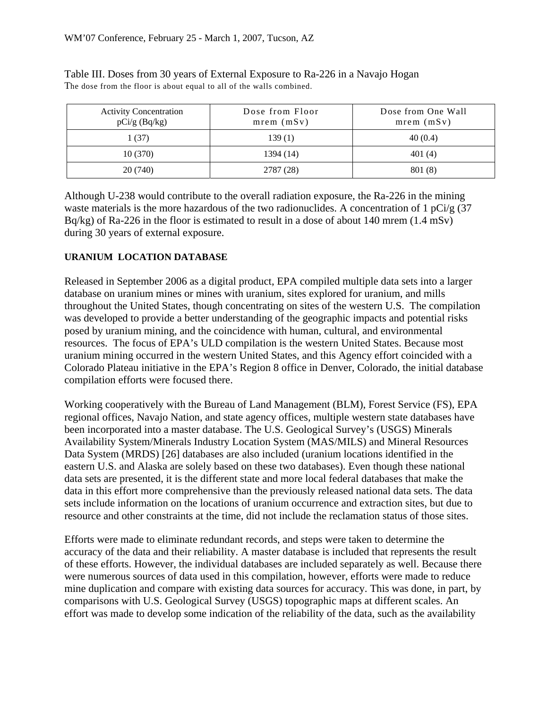| <b>Activity Concentration</b><br>$pCi/g$ (Bq/kg) | Dose from Floor<br>mrem (mSv) | Dose from One Wall<br>mrem (mSv) |
|--------------------------------------------------|-------------------------------|----------------------------------|
| 1 (37)                                           | 139(1)                        | 40(0.4)                          |
| 10(370)                                          | 1394 (14)                     | 401(4)                           |
| 20(740)                                          | 2787 (28)                     | 801 (8)                          |

Table III. Doses from 30 years of External Exposure to Ra-226 in a Navajo Hogan The dose from the floor is about equal to all of the walls combined.

Although U-238 would contribute to the overall radiation exposure, the Ra-226 in the mining waste materials is the more hazardous of the two radionuclides. A concentration of 1 pCi/g (37 Bq/kg) of Ra-226 in the floor is estimated to result in a dose of about 140 mrem (1.4 mSv) during 30 years of external exposure.

#### **URANIUM LOCATION DATABASE**

Released in September 2006 as a digital product, EPA compiled multiple data sets into a larger database on uranium mines or mines with uranium, sites explored for uranium, and mills throughout the United States, though concentrating on sites of the western U.S. The compilation was developed to provide a better understanding of the geographic impacts and potential risks posed by uranium mining, and the coincidence with human, cultural, and environmental resources. The focus of EPA's ULD compilation is the western United States. Because most uranium mining occurred in the western United States, and this Agency effort coincided with a Colorado Plateau initiative in the EPA's Region 8 office in Denver, Colorado, the initial database compilation efforts were focused there.

Working cooperatively with the Bureau of Land Management (BLM), Forest Service (FS), EPA regional offices, Navajo Nation, and state agency offices, multiple western state databases have been incorporated into a master database. The U.S. Geological Survey's (USGS) Minerals Availability System/Minerals Industry Location System (MAS/MILS) and Mineral Resources Data System (MRDS) [26] databases are also included (uranium locations identified in the eastern U.S. and Alaska are solely based on these two databases). Even though these national data sets are presented, it is the different state and more local federal databases that make the data in this effort more comprehensive than the previously released national data sets. The data sets include information on the locations of uranium occurrence and extraction sites, but due to resource and other constraints at the time, did not include the reclamation status of those sites.

Efforts were made to eliminate redundant records, and steps were taken to determine the accuracy of the data and their reliability. A master database is included that represents the result of these efforts. However, the individual databases are included separately as well. Because there were numerous sources of data used in this compilation, however, efforts were made to reduce mine duplication and compare with existing data sources for accuracy. This was done, in part, by comparisons with U.S. Geological Survey (USGS) topographic maps at different scales. An effort was made to develop some indication of the reliability of the data, such as the availability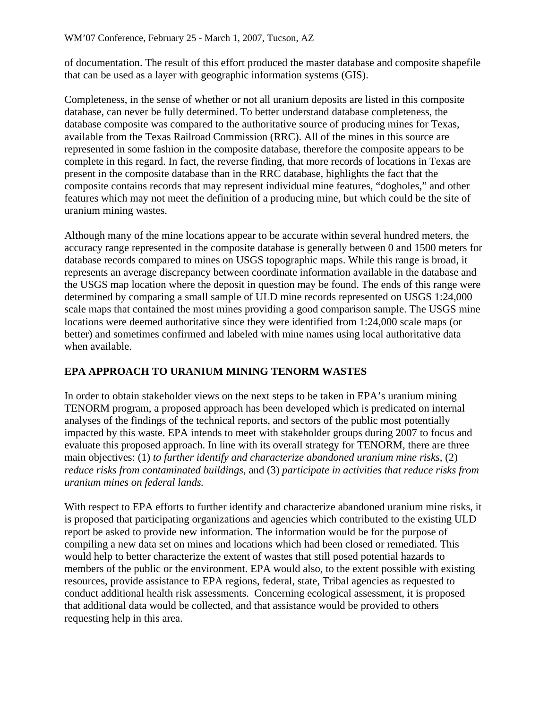of documentation. The result of this effort produced the master database and composite shapefile that can be used as a layer with geographic information systems (GIS).

Completeness, in the sense of whether or not all uranium deposits are listed in this composite database, can never be fully determined. To better understand database completeness, the database composite was compared to the authoritative source of producing mines for Texas, available from the Texas Railroad Commission (RRC). All of the mines in this source are represented in some fashion in the composite database, therefore the composite appears to be complete in this regard. In fact, the reverse finding, that more records of locations in Texas are present in the composite database than in the RRC database, highlights the fact that the composite contains records that may represent individual mine features, "dogholes," and other features which may not meet the definition of a producing mine, but which could be the site of uranium mining wastes.

Although many of the mine locations appear to be accurate within several hundred meters, the accuracy range represented in the composite database is generally between 0 and 1500 meters for database records compared to mines on USGS topographic maps. While this range is broad, it represents an average discrepancy between coordinate information available in the database and the USGS map location where the deposit in question may be found. The ends of this range were determined by comparing a small sample of ULD mine records represented on USGS 1:24,000 scale maps that contained the most mines providing a good comparison sample. The USGS mine locations were deemed authoritative since they were identified from 1:24,000 scale maps (or better) and sometimes confirmed and labeled with mine names using local authoritative data when available.

# **EPA APPROACH TO URANIUM MINING TENORM WASTES**

In order to obtain stakeholder views on the next steps to be taken in EPA's uranium mining TENORM program, a proposed approach has been developed which is predicated on internal analyses of the findings of the technical reports, and sectors of the public most potentially impacted by this waste. EPA intends to meet with stakeholder groups during 2007 to focus and evaluate this proposed approach. In line with its overall strategy for TENORM, there are three main objectives: (1) *to further identify and characterize abandoned uranium mine risks,* (2) *reduce risks from contaminated buildings,* and (3) *participate in activities that reduce risks from uranium mines on federal lands.* 

With respect to EPA efforts to further identify and characterize abandoned uranium mine risks, it is proposed that participating organizations and agencies which contributed to the existing ULD report be asked to provide new information. The information would be for the purpose of compiling a new data set on mines and locations which had been closed or remediated. This would help to better characterize the extent of wastes that still posed potential hazards to members of the public or the environment. EPA would also, to the extent possible with existing resources, provide assistance to EPA regions, federal, state, Tribal agencies as requested to conduct additional health risk assessments. Concerning ecological assessment, it is proposed that additional data would be collected, and that assistance would be provided to others requesting help in this area.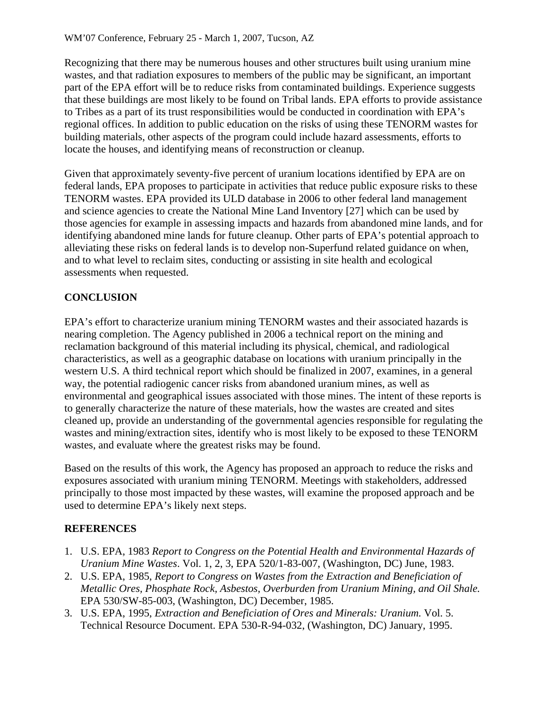Recognizing that there may be numerous houses and other structures built using uranium mine wastes, and that radiation exposures to members of the public may be significant, an important part of the EPA effort will be to reduce risks from contaminated buildings. Experience suggests that these buildings are most likely to be found on Tribal lands. EPA efforts to provide assistance to Tribes as a part of its trust responsibilities would be conducted in coordination with EPA's regional offices. In addition to public education on the risks of using these TENORM wastes for building materials, other aspects of the program could include hazard assessments, efforts to locate the houses, and identifying means of reconstruction or cleanup.

Given that approximately seventy-five percent of uranium locations identified by EPA are on federal lands, EPA proposes to participate in activities that reduce public exposure risks to these TENORM wastes. EPA provided its ULD database in 2006 to other federal land management and science agencies to create the National Mine Land Inventory [27] which can be used by those agencies for example in assessing impacts and hazards from abandoned mine lands, and for identifying abandoned mine lands for future cleanup. Other parts of EPA's potential approach to alleviating these risks on federal lands is to develop non-Superfund related guidance on when, and to what level to reclaim sites, conducting or assisting in site health and ecological assessments when requested.

# **CONCLUSION**

EPA's effort to characterize uranium mining TENORM wastes and their associated hazards is nearing completion. The Agency published in 2006 a technical report on the mining and reclamation background of this material including its physical, chemical, and radiological characteristics, as well as a geographic database on locations with uranium principally in the western U.S. A third technical report which should be finalized in 2007, examines, in a general way, the potential radiogenic cancer risks from abandoned uranium mines, as well as environmental and geographical issues associated with those mines. The intent of these reports is to generally characterize the nature of these materials, how the wastes are created and sites cleaned up, provide an understanding of the governmental agencies responsible for regulating the wastes and mining/extraction sites, identify who is most likely to be exposed to these TENORM wastes, and evaluate where the greatest risks may be found.

Based on the results of this work, the Agency has proposed an approach to reduce the risks and exposures associated with uranium mining TENORM. Meetings with stakeholders, addressed principally to those most impacted by these wastes, will examine the proposed approach and be used to determine EPA's likely next steps.

## **REFERENCES**

- 1. U.S. EPA, 1983 *Report to Congress on the Potential Health and Environmental Hazards of Uranium Mine Wastes*. Vol. 1, 2, 3, EPA 520/1-83-007, (Washington, DC) June, 1983.
- 2. U.S. EPA, 1985, *Report to Congress on Wastes from the Extraction and Beneficiation of Metallic Ores, Phosphate Rock, Asbestos, Overburden from Uranium Mining, and Oil Shale.*  EPA 530/SW-85-003, (Washington, DC) December, 1985.
- 3. U.S. EPA, 1995, *Extraction and Beneficiation of Ores and Minerals: Uranium.* Vol. 5. Technical Resource Document. EPA 530-R-94-032, (Washington, DC) January, 1995.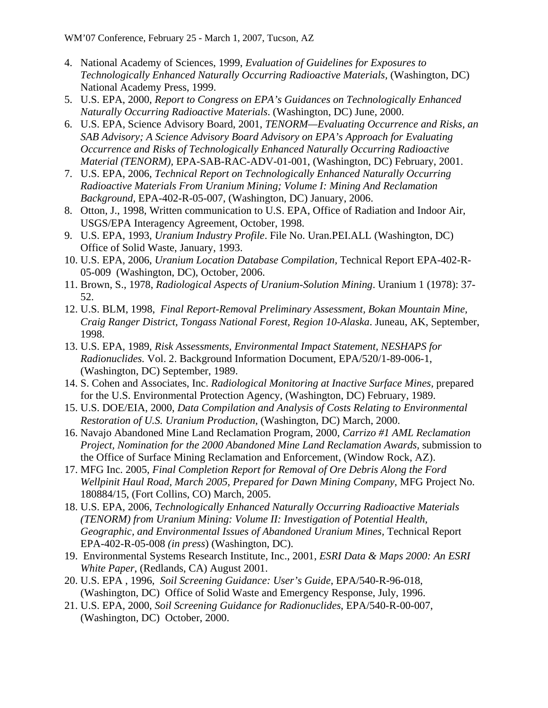- 4. National Academy of Sciences, 1999, *Evaluation of Guidelines for Exposures to Technologically Enhanced Naturally Occurring Radioactive Materials,* (Washington, DC) National Academy Press, 1999.
- 5. U.S. EPA, 2000, *Report to Congress on EPA's Guidances on Technologically Enhanced Naturally Occurring Radioactive Materials*. (Washington, DC) June, 2000.
- 6. U.S. EPA, Science Advisory Board, 2001, *TENORM—Evaluating Occurrence and Risks, an SAB Advisory; A Science Advisory Board Advisory on EPA's Approach for Evaluating Occurrence and Risks of Technologically Enhanced Naturally Occurring Radioactive Material (TENORM),* EPA-SAB-RAC-ADV-01-001, (Washington, DC) February, 2001.
- 7. U.S. EPA, 2006, *Technical Report on Technologically Enhanced Naturally Occurring Radioactive Materials From Uranium Mining; Volume I: Mining And Reclamation Background,* EPA-402-R-05-007, (Washington, DC) January, 2006.
- 8. Otton, J., 1998, Written communication to U.S. EPA, Office of Radiation and Indoor Air, USGS/EPA Interagency Agreement, October, 1998.
- 9. U.S. EPA, 1993, *Uranium Industry Profile*. File No. Uran.PEI.ALL (Washington, DC) Office of Solid Waste, January, 1993.
- 10. U.S. EPA, 2006, *Uranium Location Database Compilation,* Technical Report EPA-402-R-05-009 (Washington, DC), October, 2006.
- 11. Brown, S., 1978, *Radiological Aspects of Uranium-Solution Mining*. Uranium 1 (1978): 37- 52.
- 12. U.S. BLM, 1998, *Final Report-Removal Preliminary Assessment, Bokan Mountain Mine, Craig Ranger District, Tongass National Forest, Region 10-Alaska*. Juneau, AK, September, 1998.
- 13. U.S. EPA, 1989, *Risk Assessments, Environmental Impact Statement, NESHAPS for Radionuclides.* Vol. 2. Background Information Document, EPA/520/1-89-006-1, (Washington, DC) September, 1989.
- 14. S. Cohen and Associates, Inc. *Radiological Monitoring at Inactive Surface Mines,* prepared for the U.S. Environmental Protection Agency, (Washington, DC) February, 1989.
- 15. U.S. DOE/EIA, 2000, *Data Compilation and Analysis of Costs Relating to Environmental Restoration of U.S. Uranium Production*, (Washington, DC) March, 2000.
- 16. Navajo Abandoned Mine Land Reclamation Program, 2000, *Carrizo #1 AML Reclamation Project, Nomination for the 2000 Abandoned Mine Land Reclamation Awards, submission to* the Office of Surface Mining Reclamation and Enforcement, (Window Rock, AZ).
- 17. MFG Inc. 2005, *Final Completion Report for Removal of Ore Debris Along the Ford Wellpinit Haul Road, March 2005, Prepared for Dawn Mining Company*, MFG Project No. 180884/15, (Fort Collins, CO) March, 2005.
- 18. U.S. EPA, 2006, *Technologically Enhanced Naturally Occurring Radioactive Materials (TENORM) from Uranium Mining: Volume II: Investigation of Potential Health, Geographic, and Environmental Issues of Abandoned Uranium Mines,* Technical Report EPA-402-R-05-008 *(in press*) (Washington, DC).
- 19. Environmental Systems Research Institute, Inc., 2001, *ESRI Data & Maps 2000: An ESRI White Paper*, (Redlands, CA) August 2001.
- 20. U.S. EPA , 1996, *Soil Screening Guidance: User's Guide*, EPA/540-R-96-018, (Washington, DC) Office of Solid Waste and Emergency Response, July, 1996.
- 21. U.S. EPA, 2000, *Soil Screening Guidance for Radionuclides*, EPA/540-R-00-007, (Washington, DC) October, 2000.